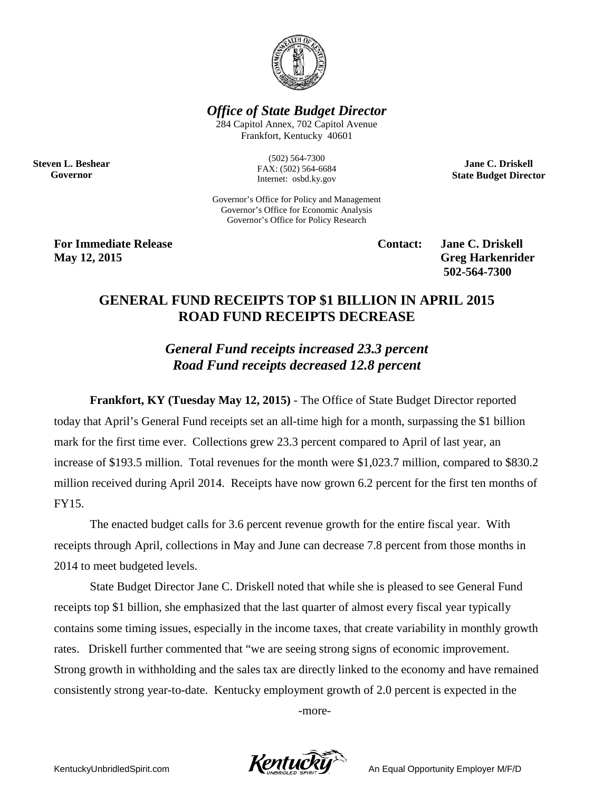

*Office of State Budget Director*

284 Capitol Annex, 702 Capitol Avenue Frankfort, Kentucky 40601

**Steven L. Beshear Governor**

(502) 564-7300 FAX: (502) 564-6684 Internet: osbd.ky.gov

Governor's Office for Policy and Management Governor's Office for Economic Analysis Governor's Office for Policy Research

**For Immediate Release Contact: Jane C. Driskell May 12, 2015** Greg Harkenrider

**502-564-7300** 

**Jane C. Driskell State Budget Director**

## **GENERAL FUND RECEIPTS TOP \$1 BILLION IN APRIL 2015 ROAD FUND RECEIPTS DECREASE**

*General Fund receipts increased 23.3 percent Road Fund receipts decreased 12.8 percent*

**Frankfort, KY (Tuesday May 12, 2015)** - The Office of State Budget Director reported today that April's General Fund receipts set an all-time high for a month, surpassing the \$1 billion mark for the first time ever. Collections grew 23.3 percent compared to April of last year, an increase of \$193.5 million. Total revenues for the month were \$1,023.7 million, compared to \$830.2 million received during April 2014. Receipts have now grown 6.2 percent for the first ten months of FY15.

The enacted budget calls for 3.6 percent revenue growth for the entire fiscal year. With receipts through April, collections in May and June can decrease 7.8 percent from those months in 2014 to meet budgeted levels.

State Budget Director Jane C. Driskell noted that while she is pleased to see General Fund receipts top \$1 billion, she emphasized that the last quarter of almost every fiscal year typically contains some timing issues, especially in the income taxes, that create variability in monthly growth rates. Driskell further commented that "we are seeing strong signs of economic improvement. Strong growth in withholding and the sales tax are directly linked to the economy and have remained consistently strong year-to-date. Kentucky employment growth of 2.0 percent is expected in the

-more-

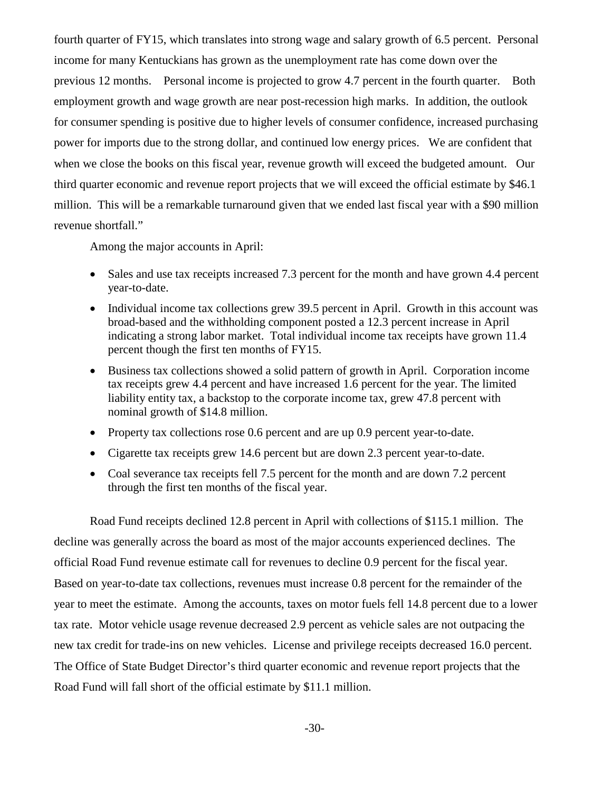fourth quarter of FY15, which translates into strong wage and salary growth of 6.5 percent. Personal income for many Kentuckians has grown as the unemployment rate has come down over the previous 12 months. Personal income is projected to grow 4.7 percent in the fourth quarter. Both employment growth and wage growth are near post-recession high marks. In addition, the outlook for consumer spending is positive due to higher levels of consumer confidence, increased purchasing power for imports due to the strong dollar, and continued low energy prices. We are confident that when we close the books on this fiscal year, revenue growth will exceed the budgeted amount. Our third quarter economic and revenue report projects that we will exceed the official estimate by \$46.1 million. This will be a remarkable turnaround given that we ended last fiscal year with a \$90 million revenue shortfall."

Among the major accounts in April:

- Sales and use tax receipts increased 7.3 percent for the month and have grown 4.4 percent year-to-date.
- Individual income tax collections grew 39.5 percent in April. Growth in this account was broad-based and the withholding component posted a 12.3 percent increase in April indicating a strong labor market. Total individual income tax receipts have grown 11.4 percent though the first ten months of FY15.
- Business tax collections showed a solid pattern of growth in April. Corporation income tax receipts grew 4.4 percent and have increased 1.6 percent for the year. The limited liability entity tax, a backstop to the corporate income tax, grew 47.8 percent with nominal growth of \$14.8 million.
- Property tax collections rose 0.6 percent and are up 0.9 percent year-to-date.
- Cigarette tax receipts grew 14.6 percent but are down 2.3 percent year-to-date.
- Coal severance tax receipts fell 7.5 percent for the month and are down 7.2 percent through the first ten months of the fiscal year.

Road Fund receipts declined 12.8 percent in April with collections of \$115.1 million. The decline was generally across the board as most of the major accounts experienced declines. The official Road Fund revenue estimate call for revenues to decline 0.9 percent for the fiscal year. Based on year-to-date tax collections, revenues must increase 0.8 percent for the remainder of the year to meet the estimate. Among the accounts, taxes on motor fuels fell 14.8 percent due to a lower tax rate. Motor vehicle usage revenue decreased 2.9 percent as vehicle sales are not outpacing the new tax credit for trade-ins on new vehicles. License and privilege receipts decreased 16.0 percent. The Office of State Budget Director's third quarter economic and revenue report projects that the Road Fund will fall short of the official estimate by \$11.1 million.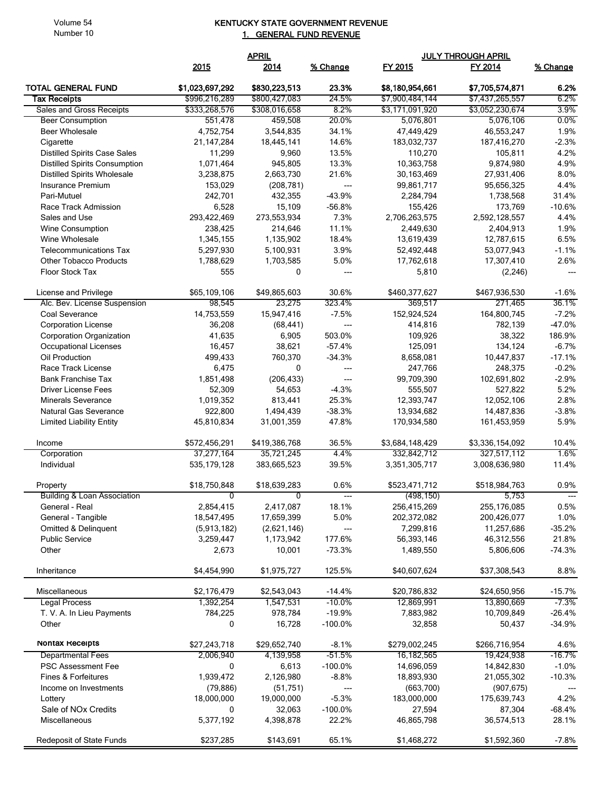Volume 54 Number 10

## KENTUCKY STATE GOVERNMENT REVENUE 1. GENERAL FUND REVENUE

|                                                  | <b>APRIL</b>     |               |                          | <b>JULY THROUGH APRIL</b> |                 |                          |  |
|--------------------------------------------------|------------------|---------------|--------------------------|---------------------------|-----------------|--------------------------|--|
|                                                  | 2015             | 2014          | % Change                 | FY 2015                   | FY 2014         | % Change                 |  |
| <b>TOTAL GENERAL FUND</b>                        | \$1,023,697,292  | \$830,223,513 | 23.3%                    | \$8,180,954,661           | \$7,705,574,871 | 6.2%                     |  |
| <b>Tax Receipts</b>                              | \$996,216,289    | \$800,427,083 | 24.5%                    | \$7,900,484,144           | \$7,437,265,557 | 6.2%                     |  |
| Sales and Gross Receipts                         | \$333,268,576    | \$308,016,658 | 8.2%                     | \$3,171,091,920           | \$3,052,230,674 | 3.9%                     |  |
| <b>Beer Consumption</b>                          | 551,478          | 459,508       | 20.0%                    | 5,076,801                 | 5,076,106       | 0.0%                     |  |
| <b>Beer Wholesale</b>                            | 4,752,754        | 3,544,835     | 34.1%                    | 47,449,429                | 46,553,247      | 1.9%                     |  |
| Cigarette                                        | 21, 147, 284     | 18,445,141    | 14.6%                    | 183,032,737               | 187,416,270     | $-2.3%$                  |  |
| <b>Distilled Spirits Case Sales</b>              | 11,299           | 9,960         | 13.5%                    | 110,270                   | 105,811         | 4.2%                     |  |
| <b>Distilled Spirits Consumption</b>             | 1,071,464        | 945,805       | 13.3%                    | 10,363,758                | 9,874,980       | 4.9%                     |  |
| <b>Distilled Spirits Wholesale</b>               | 3,238,875        | 2,663,730     | 21.6%                    | 30,163,469                | 27,931,406      | 8.0%                     |  |
| Insurance Premium                                | 153,029          | (208, 781)    | $\qquad \qquad \cdots$   | 99,861,717                | 95,656,325      | 4.4%                     |  |
| Pari-Mutuel                                      | 242,701          | 432,355       | $-43.9%$                 | 2,284,794                 | 1,738,568       | 31.4%                    |  |
| Race Track Admission                             | 6,528            | 15,109        | $-56.8%$                 | 155,426                   | 173,769         | $-10.6%$                 |  |
| Sales and Use                                    | 293,422,469      | 273,553,934   | 7.3%                     | 2,706,263,575             | 2,592,128,557   | 4.4%                     |  |
| <b>Wine Consumption</b>                          | 238,425          | 214,646       | 11.1%                    | 2,449,630                 | 2,404,913       | 1.9%                     |  |
| Wine Wholesale                                   | 1,345,155        | 1,135,902     | 18.4%                    | 13,619,439                | 12,787,615      | 6.5%                     |  |
| <b>Telecommunications Tax</b>                    | 5,297,930        | 5,100,931     | 3.9%                     | 52,492,448<br>17,762,618  | 53,077,943      | $-1.1%$<br>2.6%          |  |
| <b>Other Tobacco Products</b><br>Floor Stock Tax | 1,788,629<br>555 | 1,703,585     | 5.0%<br>$---$            |                           | 17,307,410      | $\overline{a}$           |  |
|                                                  |                  | 0             |                          | 5,810                     | (2, 246)        |                          |  |
| License and Privilege                            | \$65,109,106     | \$49,865,603  | 30.6%                    | \$460,377,627             | \$467,936,530   | $-1.6%$                  |  |
| Alc. Bev. License Suspension                     | 98,545           | 23,275        | 323.4%                   | 369,517                   | 271,465         | 36.1%                    |  |
| Coal Severance                                   | 14,753,559       | 15,947,416    | $-7.5%$                  | 152,924,524               | 164,800,745     | $-7.2%$                  |  |
| <b>Corporation License</b>                       | 36,208           | (68, 441)     | $---$                    | 414,816                   | 782,139         | $-47.0%$                 |  |
| <b>Corporation Organization</b>                  | 41,635           | 6,905         | 503.0%                   | 109,926                   | 38,322          | 186.9%                   |  |
| <b>Occupational Licenses</b>                     | 16,457           | 38,621        | $-57.4%$                 | 125,091                   | 134,124         | $-6.7%$                  |  |
| Oil Production                                   | 499,433          | 760,370       | $-34.3%$                 | 8,658,081                 | 10,447,837      | $-17.1%$                 |  |
| Race Track License                               | 6,475            | 0             | ---                      | 247,766                   | 248,375         | $-0.2%$                  |  |
| <b>Bank Franchise Tax</b>                        | 1,851,498        | (206, 433)    | ---                      | 99,709,390                | 102,691,802     | $-2.9%$                  |  |
| <b>Driver License Fees</b>                       | 52,309           | 54,653        | $-4.3%$                  | 555,507                   | 527,822         | 5.2%                     |  |
| <b>Minerals Severance</b>                        | 1,019,352        | 813,441       | 25.3%                    | 12,393,747                | 12,052,106      | 2.8%                     |  |
| Natural Gas Severance                            | 922,800          | 1,494,439     | $-38.3%$                 | 13,934,682                | 14,487,836      | $-3.8%$                  |  |
| <b>Limited Liability Entity</b>                  | 45,810,834       | 31,001,359    | 47.8%                    | 170,934,580               | 161,453,959     | 5.9%                     |  |
| Income                                           | \$572,456,291    | \$419,386,768 | 36.5%                    | \$3,684,148,429           | \$3,336,154,092 | 10.4%                    |  |
| Corporation                                      | 37,277,164       | 35,721,245    | 4.4%                     | 332,842,712               | 327,517,112     | 1.6%                     |  |
| Individual                                       | 535, 179, 128    | 383,665,523   | 39.5%                    | 3,351,305,717             | 3,008,636,980   | 11.4%                    |  |
| Property                                         | \$18,750,848     | \$18,639,283  | 0.6%                     | \$523,471,712             | \$518,984,763   | 0.9%                     |  |
| <b>Building &amp; Loan Association</b>           | 0                | 0             |                          | (498, 150)                | 5,753           |                          |  |
| General - Real                                   | 2,854,415        | 2,417,087     | 18.1%                    | 256,415,269               | 255,176,085     | 0.5%                     |  |
| General - Tangible                               | 18,547,495       | 17,659,399    | 5.0%                     | 202,372,082               | 200,426,077     | 1.0%                     |  |
| <b>Omitted &amp; Delinguent</b>                  | (5,913,182)      | (2,621,146)   | $\hspace{0.05cm} \ldots$ | 7,299,816                 | 11,257,686      | $-35.2%$                 |  |
| <b>Public Service</b>                            | 3,259,447        | 1,173,942     | 177.6%                   | 56,393,146                | 46,312,556      | 21.8%                    |  |
| Other                                            | 2,673            | 10,001        | $-73.3%$                 | 1,489,550                 | 5,806,606       | $-74.3%$                 |  |
| Inheritance                                      | \$4,454,990      | \$1,975,727   | 125.5%                   | \$40,607,624              | \$37,308,543    | 8.8%                     |  |
| Miscellaneous                                    | \$2,176,479      | \$2,543,043   | $-14.4%$                 | \$20,786,832              | \$24,650,956    | $-15.7%$                 |  |
| <b>Legal Process</b>                             | 1,392,254        | 1,547,531     | $-10.0\%$                | 12,869,991                | 13,890,669      | $-7.3%$                  |  |
| T. V. A. In Lieu Payments                        | 784,225          | 978,784       | $-19.9%$                 | 7,883,982                 | 10,709,849      | $-26.4%$                 |  |
| Other                                            | 0                | 16,728        | $-100.0\%$               | 32,858                    | 50,437          | $-34.9%$                 |  |
| Nontax Receipts                                  | \$27,243,718     | \$29,652,740  | $-8.1%$                  | \$279,002,245             | \$266,716,954   | 4.6%                     |  |
| <b>Departmental Fees</b>                         | 2,006,940        | 4,139,958     | $-51.5%$                 | 16,182,565                | 19,424,938      | $-16.7%$                 |  |
| <b>PSC Assessment Fee</b>                        | 0                | 6,613         | $-100.0\%$               | 14,696,059                | 14,842,830      | $-1.0%$                  |  |
| Fines & Forfeitures                              | 1,939,472        | 2,126,980     | $-8.8%$                  | 18,893,930                | 21,055,302      | $-10.3%$                 |  |
| Income on Investments                            | (79, 886)        | (51, 751)     | $\hspace{0.05cm} \ldots$ | (663,700)                 | (907, 675)      | $\hspace{0.05cm} \ldots$ |  |
| Lottery                                          | 18,000,000       | 19,000,000    | $-5.3%$                  | 183,000,000               | 175,639,743     | 4.2%                     |  |
| Sale of NOx Credits                              | 0                | 32,063        | $-100.0\%$               | 27,594                    | 87,304          | $-68.4%$                 |  |
| Miscellaneous                                    | 5,377,192        | 4,398,878     | 22.2%                    | 46,865,798                | 36,574,513      | 28.1%                    |  |
| Redeposit of State Funds                         | \$237,285        | \$143,691     | 65.1%                    | \$1,468,272               | \$1,592,360     | $-7.8%$                  |  |